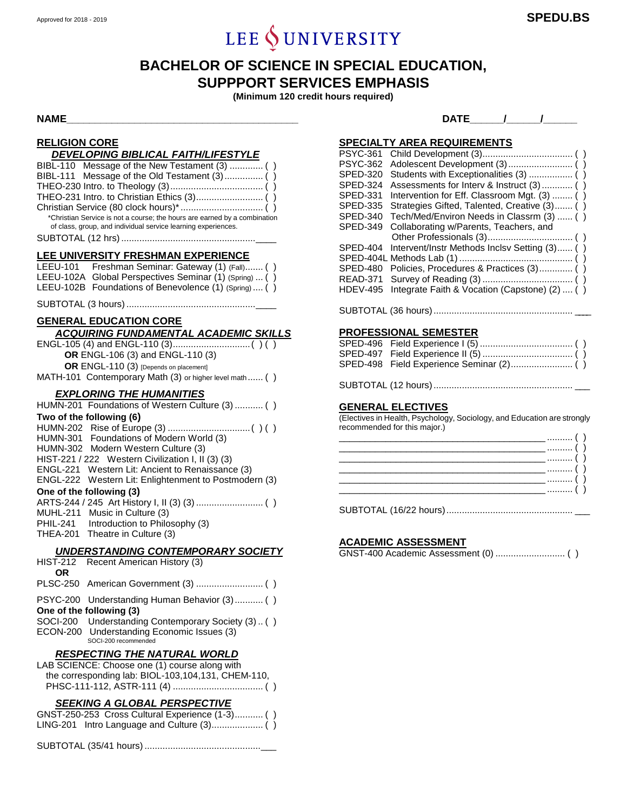# LEE  $\oint$  UNIVERSITY

# **BACHELOR OF SCIENCE IN SPECIAL EDUCATION, SUPPPORT SERVICES EMPHASIS**

**(Minimum 120 credit hours required)**

**NAME\_\_\_\_\_\_\_\_\_\_\_\_\_\_\_\_\_\_\_\_\_\_\_\_\_\_\_\_\_\_\_\_\_\_\_\_\_\_\_\_\_ DATE\_\_\_\_\_\_/\_\_\_\_\_\_/\_\_\_\_\_\_**

# **RELIGION CORE**

| <u>RELIGIUN GURE</u><br>DEVELOPING BIBLICAL FAITH/LIFESTYLE                                                                                                                                                  |
|--------------------------------------------------------------------------------------------------------------------------------------------------------------------------------------------------------------|
| BIBL-110 Message of the New Testament (3)  ()<br>BIBL-111<br>*Christian Service is not a course; the hours are earned by a combination<br>of class, group, and individual service learning experiences.      |
| LEE UNIVERSITY FRESHMAN EXPERIENCE                                                                                                                                                                           |
| LEEU-101 Freshman Seminar: Gateway (1) (Fall) ()<br>LEEU-102A Global Perspectives Seminar (1) (Spring)  ()<br>LEEU-102B Foundations of Benevolence (1) (Spring)  ()                                          |
|                                                                                                                                                                                                              |
| <b>GENERAL EDUCATION CORE</b>                                                                                                                                                                                |
|                                                                                                                                                                                                              |
| OR ENGL-106 (3) and ENGL-110 (3)<br>OR ENGL-110 (3) [Depends on placement]<br>MATH-101 Contemporary Math (3) or higher level math ()                                                                         |
| <b>EXPLORING THE HUMANITIES</b>                                                                                                                                                                              |
| HUMN-201 Foundations of Western Culture (3)  ( )                                                                                                                                                             |
| Two of the following (6)<br>HUMN-301 Foundations of Modern World (3)<br>HUMN-302 Modern Western Culture (3)                                                                                                  |
| HIST-221 / 222 Western Civilization I, II (3) (3)<br>ENGL-221 Western Lit: Ancient to Renaissance (3)<br>ENGL-222 Western Lit: Enlightenment to Postmodern (3)                                               |
| One of the following (3)                                                                                                                                                                                     |
| <b>MUHL-211</b><br>Music in Culture (3)<br>Introduction to Philosophy (3)<br>PHIL-241<br>THEA-201 Theatre in Culture (3)                                                                                     |
| <b>UNDERSTANDING CONTEMPORARY SOCIETY</b>                                                                                                                                                                    |
| <b>HIST-212</b><br>Recent American History (3)<br>OR                                                                                                                                                         |
|                                                                                                                                                                                                              |
| PSYC-200 Understanding Human Behavior (3)  ()<br>One of the following (3)<br>Understanding Contemporary Society (3). ()<br>SOCI-200<br>Understanding Economic Issues (3)<br>ECON-200<br>SOCI-200 recommended |
| <b>RESPECTING THE NATURAL WORLD</b>                                                                                                                                                                          |
| LAB SCIENCE: Choose one (1) course along with<br>the corresponding lab: BIOL-103,104,131, CHEM-110,                                                                                                          |
| <b>SEEKING A GLOBAL PERSPECTIVE</b>                                                                                                                                                                          |

| <u>JLLIWN A ULUDAL I LINJI LUIIVL</u>           |  |
|-------------------------------------------------|--|
| GNST-250-253 Cross Cultural Experience (1-3) () |  |
|                                                 |  |

SUBTOTAL (35/41 hours).............................................\_\_\_

| <b>SPECIALTY AREA REQUIREMENTS</b> |  |
|------------------------------------|--|
|------------------------------------|--|

| <b>PSYC-361</b> |                                               |
|-----------------|-----------------------------------------------|
| <b>PSYC-362</b> |                                               |
| <b>SPED-320</b> |                                               |
| SPED-324        | Assessments for Interv & Instruct (3)  ()     |
| <b>SPED-331</b> | Intervention for Eff. Classroom Mgt. (3)  ()  |
| SPED-335        | Strategies Gifted, Talented, Creative (3) ()  |
| SPED-340        | Tech/Med/Environ Needs in Classrm (3)  ()     |
| <b>SPED-349</b> | Collaborating w/Parents, Teachers, and        |
|                 |                                               |
| SPED-404        | Intervent/Instr Methods Inclsv Setting (3) () |
|                 |                                               |
| SPED-480        | Policies, Procedures & Practices (3) ()       |
| <b>READ-371</b> |                                               |
| <b>HDEV-495</b> | Integrate Faith & Vocation (Capstone) (2)  () |
|                 |                                               |

SUBTOTAL (36 hours)...................................................... \_\_\_\_

# **PROFESSIONAL SEMESTER**

| $\sim$ $\sim$ $\sim$ $\sim$ $\sim$ $\sim$ $\sim$ |
|--------------------------------------------------|

SUBTOTAL (12 hours)...................................................... \_\_\_

#### **GENERAL ELECTIVES**

(Electives in Health, Psychology, Sociology, and Education are strongly recommended for this major.)

SUBTOTAL (16/22 hours)................................................. \_\_\_

### **ACADEMIC ASSESSMENT**

GNST-400 Academic Assessment (0) ........................... ( )